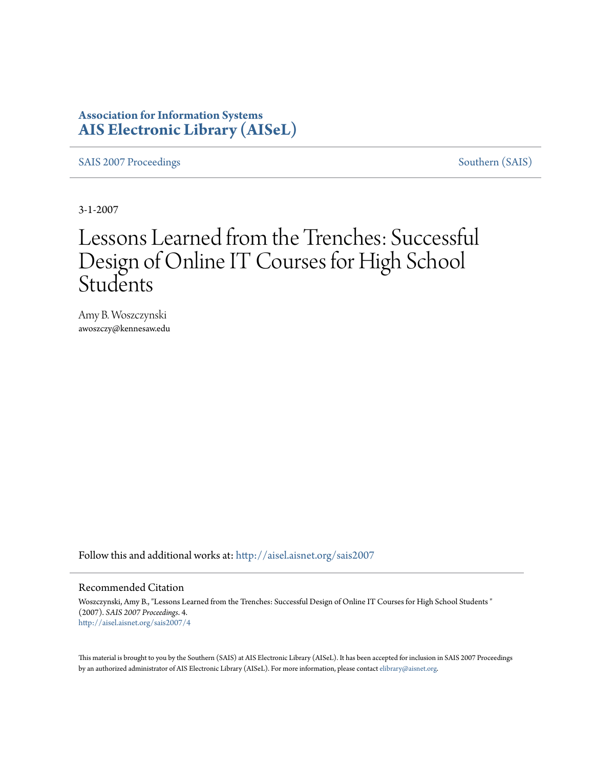## **Association for Information Systems [AIS Electronic Library \(AISeL\)](http://aisel.aisnet.org?utm_source=aisel.aisnet.org%2Fsais2007%2F4&utm_medium=PDF&utm_campaign=PDFCoverPages)**

[SAIS 2007 Proceedings](http://aisel.aisnet.org/sais2007?utm_source=aisel.aisnet.org%2Fsais2007%2F4&utm_medium=PDF&utm_campaign=PDFCoverPages) [Southern \(SAIS\)](http://aisel.aisnet.org/sais?utm_source=aisel.aisnet.org%2Fsais2007%2F4&utm_medium=PDF&utm_campaign=PDFCoverPages)

3-1-2007

# Lessons Learned from the Trenches: Successful Design of Online IT Courses for High School Students

Amy B. Woszczynski awoszczy@kennesaw.edu

Follow this and additional works at: [http://aisel.aisnet.org/sais2007](http://aisel.aisnet.org/sais2007?utm_source=aisel.aisnet.org%2Fsais2007%2F4&utm_medium=PDF&utm_campaign=PDFCoverPages)

#### Recommended Citation

Woszczynski, Amy B., "Lessons Learned from the Trenches: Successful Design of Online IT Courses for High School Students " (2007). *SAIS 2007 Proceedings*. 4. [http://aisel.aisnet.org/sais2007/4](http://aisel.aisnet.org/sais2007/4?utm_source=aisel.aisnet.org%2Fsais2007%2F4&utm_medium=PDF&utm_campaign=PDFCoverPages)

This material is brought to you by the Southern (SAIS) at AIS Electronic Library (AISeL). It has been accepted for inclusion in SAIS 2007 Proceedings by an authorized administrator of AIS Electronic Library (AISeL). For more information, please contact [elibrary@aisnet.org](mailto:elibrary@aisnet.org%3E).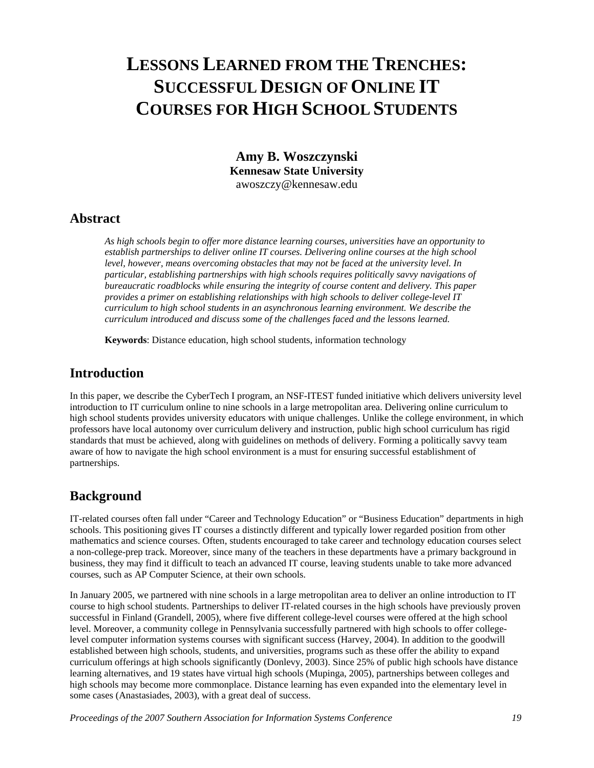## **LESSONS LEARNED FROM THE TRENCHES: SUCCESSFUL DESIGN OF ONLINE IT COURSES FOR HIGH SCHOOL STUDENTS**

**Amy B. Woszczynski Kennesaw State University**  awoszczy@kennesaw.edu

#### **Abstract**

*As high schools begin to offer more distance learning courses, universities have an opportunity to establish partnerships to deliver online IT courses. Delivering online courses at the high school level, however, means overcoming obstacles that may not be faced at the university level. In particular, establishing partnerships with high schools requires politically savvy navigations of bureaucratic roadblocks while ensuring the integrity of course content and delivery. This paper provides a primer on establishing relationships with high schools to deliver college-level IT curriculum to high school students in an asynchronous learning environment. We describe the curriculum introduced and discuss some of the challenges faced and the lessons learned.* 

**Keywords**: Distance education, high school students, information technology

#### **Introduction**

In this paper, we describe the CyberTech I program, an NSF-ITEST funded initiative which delivers university level introduction to IT curriculum online to nine schools in a large metropolitan area. Delivering online curriculum to high school students provides university educators with unique challenges. Unlike the college environment, in which professors have local autonomy over curriculum delivery and instruction, public high school curriculum has rigid standards that must be achieved, along with guidelines on methods of delivery. Forming a politically savvy team aware of how to navigate the high school environment is a must for ensuring successful establishment of partnerships.

#### **Background**

IT-related courses often fall under "Career and Technology Education" or "Business Education" departments in high schools. This positioning gives IT courses a distinctly different and typically lower regarded position from other mathematics and science courses. Often, students encouraged to take career and technology education courses select a non-college-prep track. Moreover, since many of the teachers in these departments have a primary background in business, they may find it difficult to teach an advanced IT course, leaving students unable to take more advanced courses, such as AP Computer Science, at their own schools.

In January 2005, we partnered with nine schools in a large metropolitan area to deliver an online introduction to IT course to high school students. Partnerships to deliver IT-related courses in the high schools have previously proven successful in Finland (Grandell, 2005), where five different college-level courses were offered at the high school level. Moreover, a community college in Pennsylvania successfully partnered with high schools to offer collegelevel computer information systems courses with significant success (Harvey, 2004). In addition to the goodwill established between high schools, students, and universities, programs such as these offer the ability to expand curriculum offerings at high schools significantly (Donlevy, 2003). Since 25% of public high schools have distance learning alternatives, and 19 states have virtual high schools (Mupinga, 2005), partnerships between colleges and high schools may become more commonplace. Distance learning has even expanded into the elementary level in some cases (Anastasiades, 2003), with a great deal of success.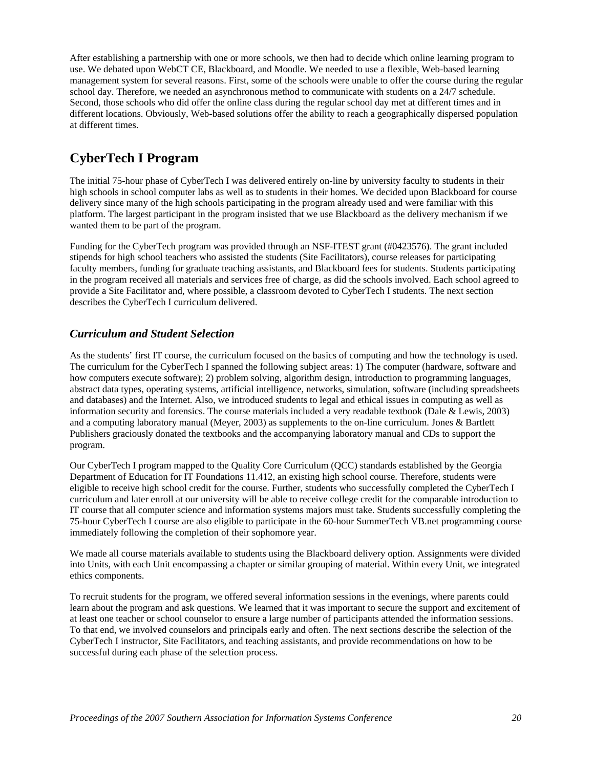After establishing a partnership with one or more schools, we then had to decide which online learning program to use. We debated upon WebCT CE, Blackboard, and Moodle. We needed to use a flexible, Web-based learning management system for several reasons. First, some of the schools were unable to offer the course during the regular school day. Therefore, we needed an asynchronous method to communicate with students on a 24/7 schedule. Second, those schools who did offer the online class during the regular school day met at different times and in different locations. Obviously, Web-based solutions offer the ability to reach a geographically dispersed population at different times.

## **CyberTech I Program**

The initial 75-hour phase of CyberTech I was delivered entirely on-line by university faculty to students in their high schools in school computer labs as well as to students in their homes. We decided upon Blackboard for course delivery since many of the high schools participating in the program already used and were familiar with this platform. The largest participant in the program insisted that we use Blackboard as the delivery mechanism if we wanted them to be part of the program.

Funding for the CyberTech program was provided through an NSF-ITEST grant (#0423576). The grant included stipends for high school teachers who assisted the students (Site Facilitators), course releases for participating faculty members, funding for graduate teaching assistants, and Blackboard fees for students. Students participating in the program received all materials and services free of charge, as did the schools involved. Each school agreed to provide a Site Facilitator and, where possible, a classroom devoted to CyberTech I students. The next section describes the CyberTech I curriculum delivered.

#### *Curriculum and Student Selection*

As the students' first IT course, the curriculum focused on the basics of computing and how the technology is used. The curriculum for the CyberTech I spanned the following subject areas: 1) The computer (hardware, software and how computers execute software); 2) problem solving, algorithm design, introduction to programming languages, abstract data types, operating systems, artificial intelligence, networks, simulation, software (including spreadsheets and databases) and the Internet. Also, we introduced students to legal and ethical issues in computing as well as information security and forensics. The course materials included a very readable textbook (Dale & Lewis, 2003) and a computing laboratory manual (Meyer, 2003) as supplements to the on-line curriculum. Jones & Bartlett Publishers graciously donated the textbooks and the accompanying laboratory manual and CDs to support the program.

Our CyberTech I program mapped to the Quality Core Curriculum (QCC) standards established by the Georgia Department of Education for IT Foundations 11.412, an existing high school course. Therefore, students were eligible to receive high school credit for the course. Further, students who successfully completed the CyberTech I curriculum and later enroll at our university will be able to receive college credit for the comparable introduction to IT course that all computer science and information systems majors must take. Students successfully completing the 75-hour CyberTech I course are also eligible to participate in the 60-hour SummerTech VB.net programming course immediately following the completion of their sophomore year.

We made all course materials available to students using the Blackboard delivery option. Assignments were divided into Units, with each Unit encompassing a chapter or similar grouping of material. Within every Unit, we integrated ethics components.

To recruit students for the program, we offered several information sessions in the evenings, where parents could learn about the program and ask questions. We learned that it was important to secure the support and excitement of at least one teacher or school counselor to ensure a large number of participants attended the information sessions. To that end, we involved counselors and principals early and often. The next sections describe the selection of the CyberTech I instructor, Site Facilitators, and teaching assistants, and provide recommendations on how to be successful during each phase of the selection process.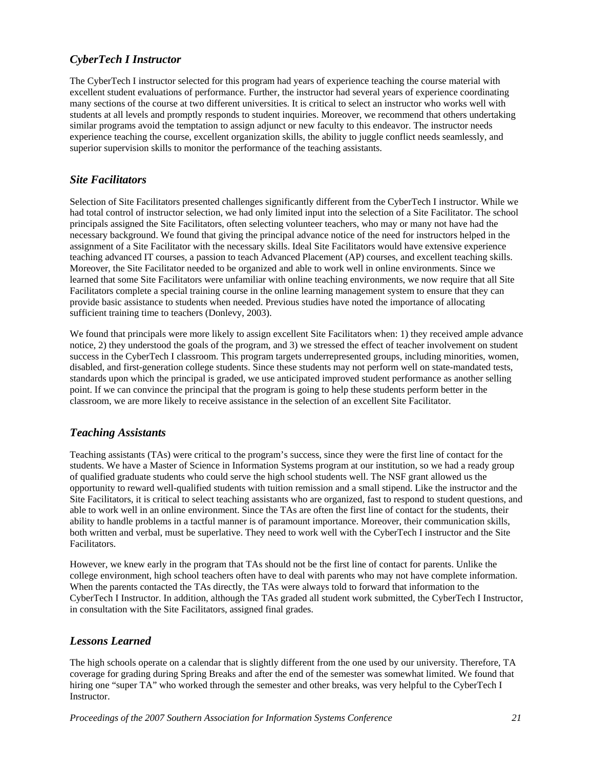#### *CyberTech I Instructor*

The CyberTech I instructor selected for this program had years of experience teaching the course material with excellent student evaluations of performance. Further, the instructor had several years of experience coordinating many sections of the course at two different universities. It is critical to select an instructor who works well with students at all levels and promptly responds to student inquiries. Moreover, we recommend that others undertaking similar programs avoid the temptation to assign adjunct or new faculty to this endeavor. The instructor needs experience teaching the course, excellent organization skills, the ability to juggle conflict needs seamlessly, and superior supervision skills to monitor the performance of the teaching assistants.

#### *Site Facilitators*

Selection of Site Facilitators presented challenges significantly different from the CyberTech I instructor. While we had total control of instructor selection, we had only limited input into the selection of a Site Facilitator. The school principals assigned the Site Facilitators, often selecting volunteer teachers, who may or many not have had the necessary background. We found that giving the principal advance notice of the need for instructors helped in the assignment of a Site Facilitator with the necessary skills. Ideal Site Facilitators would have extensive experience teaching advanced IT courses, a passion to teach Advanced Placement (AP) courses, and excellent teaching skills. Moreover, the Site Facilitator needed to be organized and able to work well in online environments. Since we learned that some Site Facilitators were unfamiliar with online teaching environments, we now require that all Site Facilitators complete a special training course in the online learning management system to ensure that they can provide basic assistance to students when needed. Previous studies have noted the importance of allocating sufficient training time to teachers (Donlevy, 2003).

We found that principals were more likely to assign excellent Site Facilitators when: 1) they received ample advance notice, 2) they understood the goals of the program, and 3) we stressed the effect of teacher involvement on student success in the CyberTech I classroom. This program targets underrepresented groups, including minorities, women, disabled, and first-generation college students. Since these students may not perform well on state-mandated tests, standards upon which the principal is graded, we use anticipated improved student performance as another selling point. If we can convince the principal that the program is going to help these students perform better in the classroom, we are more likely to receive assistance in the selection of an excellent Site Facilitator.

#### *Teaching Assistants*

Teaching assistants (TAs) were critical to the program's success, since they were the first line of contact for the students. We have a Master of Science in Information Systems program at our institution, so we had a ready group of qualified graduate students who could serve the high school students well. The NSF grant allowed us the opportunity to reward well-qualified students with tuition remission and a small stipend. Like the instructor and the Site Facilitators, it is critical to select teaching assistants who are organized, fast to respond to student questions, and able to work well in an online environment. Since the TAs are often the first line of contact for the students, their ability to handle problems in a tactful manner is of paramount importance. Moreover, their communication skills, both written and verbal, must be superlative. They need to work well with the CyberTech I instructor and the Site Facilitators.

However, we knew early in the program that TAs should not be the first line of contact for parents. Unlike the college environment, high school teachers often have to deal with parents who may not have complete information. When the parents contacted the TAs directly, the TAs were always told to forward that information to the CyberTech I Instructor. In addition, although the TAs graded all student work submitted, the CyberTech I Instructor, in consultation with the Site Facilitators, assigned final grades.

#### *Lessons Learned*

The high schools operate on a calendar that is slightly different from the one used by our university. Therefore, TA coverage for grading during Spring Breaks and after the end of the semester was somewhat limited. We found that hiring one "super TA" who worked through the semester and other breaks, was very helpful to the CyberTech I Instructor.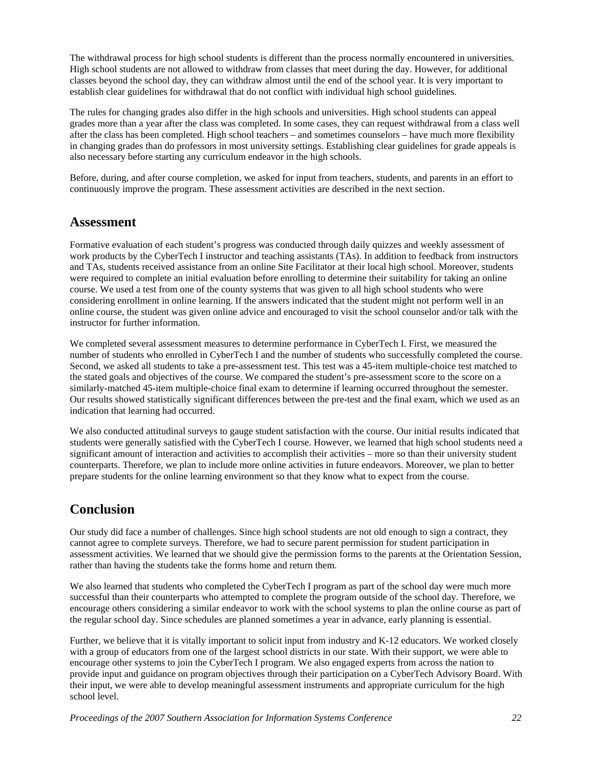The withdrawal process for high school students is different than the process normally encountered in universities. High school students are not allowed to withdraw from classes that meet during the day. However, for additional classes beyond the school day, they can withdraw almost until the end of the school year. It is very important to establish clear guidelines for withdrawal that do not conflict with individual high school guidelines.

The rules for changing grades also differ in the high schools and universities. High school students can appeal grades more than a year after the class was completed. In some cases, they can request withdrawal from a class well after the class has been completed. High school teachers – and sometimes counselors – have much more flexibility in changing grades than do professors in most university settings. Establishing clear guidelines for grade appeals is also necessary before starting any curriculum endeavor in the high schools.

Before, during, and after course completion, we asked for input from teachers, students, and parents in an effort to continuously improve the program. These assessment activities are described in the next section.

#### **Assessment**

Formative evaluation of each student's progress was conducted through daily quizzes and weekly assessment of work products by the CyberTech I instructor and teaching assistants (TAs). In addition to feedback from instructors and TAs, students received assistance from an online Site Facilitator at their local high school. Moreover, students were required to complete an initial evaluation before enrolling to determine their suitability for taking an online course. We used a test from one of the county systems that was given to all high school students who were considering enrollment in online learning. If the answers indicated that the student might not perform well in an online course, the student was given online advice and encouraged to visit the school counselor and/or talk with the instructor for further information.

We completed several assessment measures to determine performance in CyberTech I. First, we measured the number of students who enrolled in CyberTech I and the number of students who successfully completed the course. Second, we asked all students to take a pre-assessment test. This test was a 45-item multiple-choice test matched to the stated goals and objectives of the course. We compared the student's pre-assessment score to the score on a similarly-matched 45-item multiple-choice final exam to determine if learning occurred throughout the semester. Our results showed statistically significant differences between the pre-test and the final exam, which we used as an indication that learning had occurred.

We also conducted attitudinal surveys to gauge student satisfaction with the course. Our initial results indicated that students were generally satisfied with the CyberTech I course. However, we learned that high school students need a significant amount of interaction and activities to accomplish their activities – more so than their university student counterparts. Therefore, we plan to include more online activities in future endeavors. Moreover, we plan to better prepare students for the online learning environment so that they know what to expect from the course.

### **Conclusion**

Our study did face a number of challenges. Since high school students are not old enough to sign a contract, they cannot agree to complete surveys. Therefore, we had to secure parent permission for student participation in assessment activities. We learned that we should give the permission forms to the parents at the Orientation Session, rather than having the students take the forms home and return them.

We also learned that students who completed the CyberTech I program as part of the school day were much more successful than their counterparts who attempted to complete the program outside of the school day. Therefore, we encourage others considering a similar endeavor to work with the school systems to plan the online course as part of the regular school day. Since schedules are planned sometimes a year in advance, early planning is essential.

Further, we believe that it is vitally important to solicit input from industry and K-12 educators. We worked closely with a group of educators from one of the largest school districts in our state. With their support, we were able to encourage other systems to join the CyberTech I program. We also engaged experts from across the nation to provide input and guidance on program objectives through their participation on a CyberTech Advisory Board. With their input, we were able to develop meaningful assessment instruments and appropriate curriculum for the high school level.